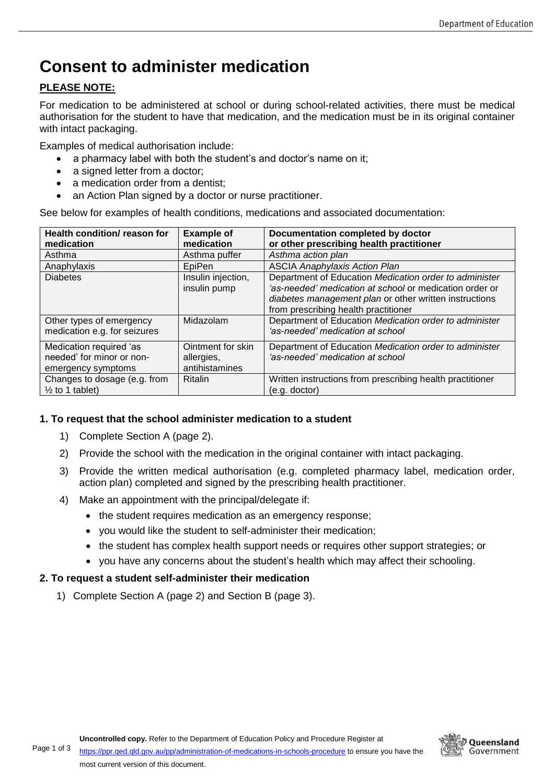# **Consent to administer medication**

### **PLEASE NOTE:**

For medication to be administered at school or during school-related activities, there must be medical authorisation for the student to have that medication, and the medication must be in its original container with intact packaging.

Examples of medical authorisation include:

- a pharmacy label with both the student's and doctor's name on it;
- a signed letter from a doctor;
- a medication order from a dentist;
- an Action Plan signed by a doctor or nurse practitioner.

See below for examples of health conditions, medications and associated documentation:

| <b>Health condition/ reason for</b><br>medication                          | <b>Example of</b><br>medication                   | Documentation completed by doctor<br>or other prescribing health practitioner                                                                                                                                       |
|----------------------------------------------------------------------------|---------------------------------------------------|---------------------------------------------------------------------------------------------------------------------------------------------------------------------------------------------------------------------|
| Asthma                                                                     | Asthma puffer                                     | Asthma action plan                                                                                                                                                                                                  |
| Anaphylaxis                                                                | EpiPen                                            | <b>ASCIA Anaphylaxis Action Plan</b>                                                                                                                                                                                |
| <b>Diabetes</b>                                                            | Insulin injection,<br>insulin pump                | Department of Education Medication order to administer<br>'as-needed' medication at school or medication order or<br>diabetes management plan or other written instructions<br>from prescribing health practitioner |
| Other types of emergency<br>medication e.g. for seizures                   | Midazolam                                         | Department of Education Medication order to administer<br>'as-needed' medication at school                                                                                                                          |
| Medication required 'as<br>needed' for minor or non-<br>emergency symptoms | Ointment for skin<br>allergies,<br>antihistamines | Department of Education Medication order to administer<br>'as-needed' medication at school                                                                                                                          |
| Changes to dosage (e.g. from<br>$\frac{1}{2}$ to 1 tablet)                 | <b>Ritalin</b>                                    | Written instructions from prescribing health practitioner<br>$(e.g.$ doctor)                                                                                                                                        |

### **1. To request that the school administer medication to a student**

- 1) Complete Section A (page 2).
- 2) Provide the school with the medication in the original container with intact packaging.
- 3) Provide the written medical authorisation (e.g. completed pharmacy label, medication order, action plan) completed and signed by the prescribing health practitioner.
- 4) Make an appointment with the principal/delegate if:
	- the student requires medication as an emergency response;
	- you would like the student to self-administer their medication;
	- the student has complex health support needs or requires other support strategies; or
	- you have any concerns about the student's health which may affect their schooling.

### **2. To request a student self-administer their medication**

1) Complete Section A (page 2) and Section B (page 3).

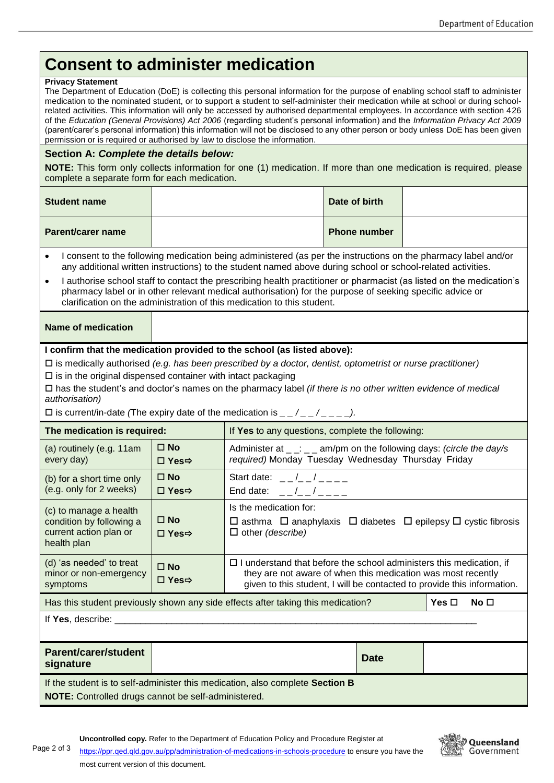# **Consent to administer medication**

#### **Privacy Statement**

The Department of Education (DoE) is collecting this personal information for the purpose of enabling school staff to administer medication to the nominated student, or to support a student to self-administer their medication while at school or during schoolrelated activities. This information will only be accessed by authorised departmental employees. In accordance with section 426 of the *Education (General Provisions) Act 2006* (regarding student's personal information) and the *Information Privacy Act 2009*  (parent/carer's personal information) this information will not be disclosed to any other person or body unless DoE has been given permission or is required or authorised by law to disclose the information.

### **Section A:** *Complete the details below:*

**NOTE:** This form only collects information for one (1) medication. If more than one medication is required, please complete a separate form for each medication.

| <b>Student name</b>      | Date of birth       |  |
|--------------------------|---------------------|--|
| <b>Parent/carer name</b> | <b>Phone number</b> |  |

- I consent to the following medication being administered (as per the instructions on the pharmacy label and/or any additional written instructions) to the student named above during school or school-related activities.
- I authorise school staff to contact the prescribing health practitioner or pharmacist (as listed on the medication's pharmacy label or in other relevant medical authorisation) for the purpose of seeking specific advice or clarification on the administration of this medication to this student.

### **Name of medication**

#### **I confirm that the medication provided to the school (as listed above):**

is medically authorised *(e.g. has been prescribed by a doctor, dentist, optometrist or nurse practitioner)*

 $\square$  is in the original dispensed container with intact packaging

 has the student's and doctor's names on the pharmacy label *(if there is no other written evidence of medical authorisation)*

 $\square$  is current/in-date *(The expiry date of the medication is*  $\qquad \qquad / \qquad \qquad$ *).* 

| The medication is required:                                                                                                          |                        | If Yes to any questions, complete the following:                                                                                                                                                                      |                 |  |  |  |
|--------------------------------------------------------------------------------------------------------------------------------------|------------------------|-----------------------------------------------------------------------------------------------------------------------------------------------------------------------------------------------------------------------|-----------------|--|--|--|
| (a) routinely (e.g. 11am<br>every day)                                                                                               | $\Box$ No<br>□ Yes⇒    | Administer at $\lfloor \frac{n}{2} \rfloor$ am/pm on the following days: (circle the day/s<br>required) Monday Tuesday Wednesday Thursday Friday                                                                      |                 |  |  |  |
| (b) for a short time only<br>(e.g. only for 2 weeks)                                                                                 | $\square$ No<br>□ Yes⇒ | Start date: $ /$ $ /$ $  -$<br>End date: $-/-/-$                                                                                                                                                                      |                 |  |  |  |
| (c) to manage a health<br>condition by following a<br>current action plan or<br>health plan                                          | $\Box$ No<br>□ Yes⇒    | Is the medication for:<br>$\Box$ asthma $\Box$ anaphylaxis $\Box$ diabetes $\Box$ epilepsy $\Box$ cystic fibrosis<br>$\Box$ other (describe)                                                                          |                 |  |  |  |
| (d) 'as needed' to treat<br>minor or non-emergency<br>symptoms                                                                       | $\Box$ No<br>□ Yes⇒    | $\Box$ I understand that before the school administers this medication, if<br>they are not aware of when this medication was most recently<br>given to this student, I will be contacted to provide this information. |                 |  |  |  |
| Has this student previously shown any side effects after taking this medication?<br>Yes $\Box$                                       |                        |                                                                                                                                                                                                                       | No <sub>1</sub> |  |  |  |
| If $Yes$ , describe: $\_\_$                                                                                                          |                        |                                                                                                                                                                                                                       |                 |  |  |  |
| <b>Parent/carer/student</b><br>signature                                                                                             |                        |                                                                                                                                                                                                                       | <b>Date</b>     |  |  |  |
| If the student is to self-administer this medication, also complete Section B<br>NOTE: Controlled drugs cannot be self-administered. |                        |                                                                                                                                                                                                                       |                 |  |  |  |